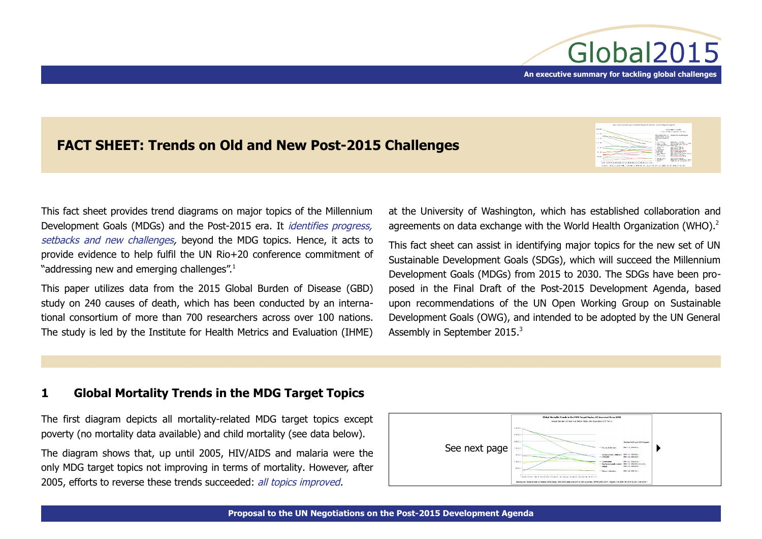

# **FACT SHEET: Trends on Old and New Post-2015 Challenges**



This fact sheet provides trend diagrams on major topics of the Millennium Development Goals (MDGs) and the Post-2015 era. It identifies progress, setbacks and new challenges, beyond the MDG topics. Hence, it acts to provide evidence to help fulfil the UN Rio+20 conference commitment of "addressing new and emerging challenges".<sup>[1](#page-7-0)</sup>

This paper utilizes data from the 2015 Global Burden of Disease (GBD) study on 240 causes of death, which has been conducted by an international consortium of more than 700 researchers across over 100 nations. The study is led by the Institute for Health Metrics and Evaluation (IHME) at the University of Washington, which has established collaboration and agreements on data exchange with the World Health Organization (WHO).<sup>[2](#page-7-1)</sup>

This fact sheet can assist in identifying major topics for the new set of UN Sustainable Development Goals (SDGs), which will succeed the Millennium Development Goals (MDGs) from 2015 to 2030. The SDGs have been proposed in the Final Draft of the Post-2015 Development Agenda, based upon recommendations of the UN Open Working Group on Sustainable Development Goals (OWG), and intended to be adopted by the UN General Assembly in September 2015.<sup>[3](#page-7-2)</sup>

# **1 Global Mortality Trends in the MDG Target Topics**

The first diagram depicts all mortality-related MDG target topics except poverty (no mortality data available) and child mortality (see data below).

The diagram shows that, up until 2005, HIV/AIDS and malaria were the only MDG target topics not improving in terms of mortality. However, after 2005, efforts to reverse these trends succeeded: all topics improved.

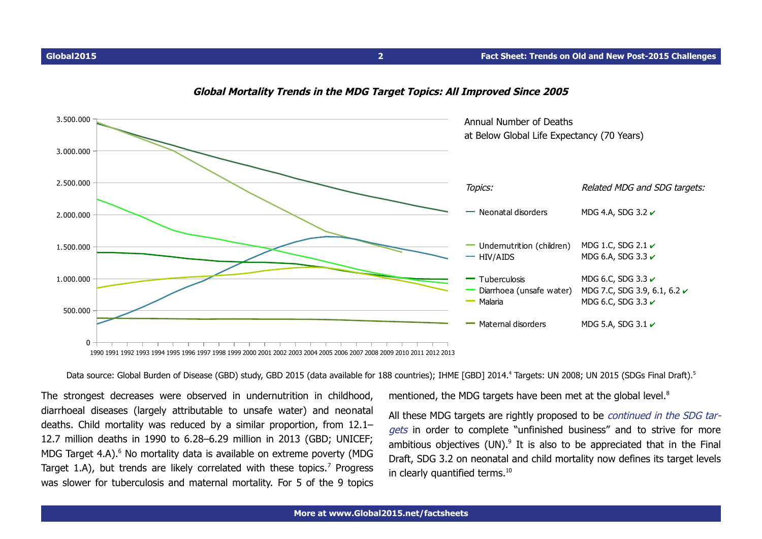<span id="page-1-0"></span>



**Global Mortality Trends in the MDG Target Topics: All Improved Since 2005**

Data source: Global Burden of Disease (GBD) study, GBD 2015 (data available for 188 countries); IHME [GBD] 201[4](#page-7-3).<sup>4</sup> Targets: UN 2008; UN 201[5](#page-8-0) (SDGs Final Draft).<sup>5</sup>

The strongest decreases were observed in undernutrition in childhood, diarrhoeal diseases (largely attributable to unsafe water) and neonatal deaths. Child mortality was reduced by a similar proportion, from 12.1– 12.7 million deaths in 1990 to 6.28–6.29 million in 2013 (GBD; UNICEF; MDG Target 4.A).<sup>[6](#page-8-1)</sup> No mortality data is available on extreme poverty (MDG Target 1.A), but trends are likely correlated with these topics.<sup>[7](#page-8-2)</sup> Progress was slower for tuberculosis and maternal mortality. For 5 of the 9 topics mentioned, the MDG targets have been met at the global level.<sup>[8](#page-8-3)</sup>

All these MDG targets are rightly proposed to be *continued in the SDG tar*gets in order to complete "unfinished business" and to strive for more ambitious objectives (UN). $9$  It is also to be appreciated that in the Final Draft, SDG 3.2 on neonatal and child mortality now defines its target levels in clearly quantified terms.<sup>[10](#page-8-5)</sup>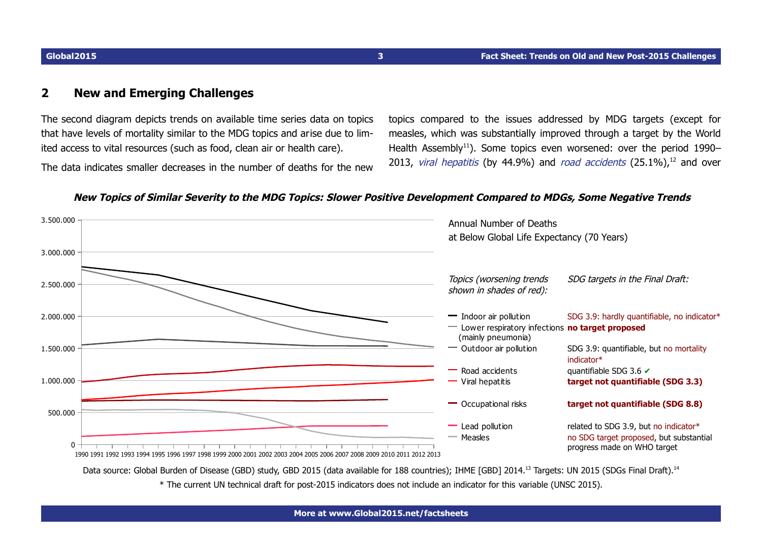# **2 New and Emerging Challenges**

The second diagram depicts trends on available time series data on topics that have levels of mortality similar to the MDG topics and arise due to limited access to vital resources (such as food, clean air or health care).

The data indicates smaller decreases in the number of deaths for the new

topics compared to the issues addressed by MDG targets (except for measles, which was substantially improved through a target by the World Health Assembly<sup>[11](#page-8-6)</sup>). Some topics even worsened: over the period 1990– 2013, viral hepatitis (by 44.9%) and road accidents  $(25.1\%)$ ,<sup>[12](#page-8-7)</sup> and over

<span id="page-2-0"></span>



Data source: Global Burden of Disease (GBD) study, GBD 2015 (data available for 188 countries); IHME [GBD] 2014.<sup>[13](#page-8-8)</sup> Targets: UN 2015 (SDGs Final Draft).<sup>[14](#page-8-9)</sup> \* The current UN technical draft for post-2015 indicators does not include an indicator for this variable (UNSC 2015).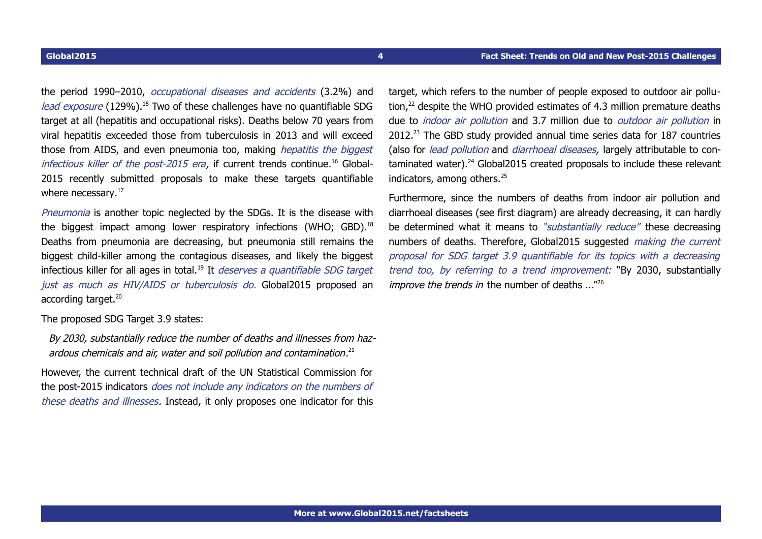the period 1990–2010, occupational diseases and accidents (3.2%) and lead exposure (129%).<sup>[15](#page-8-10)</sup> Two of these challenges have no quantifiable SDG target at all (hepatitis and occupational risks). Deaths below 70 years from viral hepatitis exceeded those from tuberculosis in 2013 and will exceed those from AIDS, and even pneumonia too, making *hepatitis the biggest* infectious killer of the post-2015 era, if current trends continue.<sup>[16](#page-8-11)</sup> Global-2015 recently submitted proposals to make these targets quantifiable where necessary.<sup>[17](#page-9-0)</sup>

Pneumonia is another topic neglected by the SDGs. It is the disease with the biggest impact among lower respiratory infections (WHO; GBD).<sup>[18](#page-9-1)</sup> Deaths from pneumonia are decreasing, but pneumonia still remains the biggest child-killer among the contagious diseases, and likely the biggest infectious killer for all ages in total.<sup>[19](#page-9-2)</sup> It *deserves a quantifiable SDG target* just as much as HIV/AIDS or tuberculosis do. Global2015 proposed an according target.<sup>[20](#page-9-3)</sup>

The proposed SDG Target 3.9 states:

<span id="page-3-0"></span>By 2030, substantially reduce the number of deaths and illnesses from haz-ardous chemicals and air, water and soil pollution and contamination.<sup>[21](#page-9-4)</sup>

However, the current technical draft of the UN Statistical Commission for the post-2015 indicators does not include any indicators on the numbers of these deaths and illnesses. Instead, it only proposes one indicator for this

target, which refers to the number of people exposed to outdoor air pollu-tion,<sup>[22](#page-9-5)</sup> despite the WHO provided estimates of 4.3 million premature deaths due to *indoor air pollution* and 3.7 million due to *outdoor air pollution* in 2012.<sup>[23](#page-9-6)</sup> The GBD study provided annual time series data for 187 countries (also for lead pollution and diarrhoeal diseases, largely attributable to contaminated water). $24$  Global2015 created proposals to include these relevant indicators, among others.<sup>[25](#page-9-8)</sup>

Furthermore, since the numbers of deaths from indoor air pollution and diarrhoeal diseases (see first diagram) are already decreasing, it can hardly be determined what it means to "substantially reduce" these decreasing numbers of deaths. Therefore, Global2015 suggested *making the current* proposal for SDG target 3.9 quantifiable for its topics with a decreasing trend too, by referring to a trend improvement: "By 2030, substantially *improve the trends in the number of deaths*  $\ldots$ <sup>[26](#page-9-9)</sup>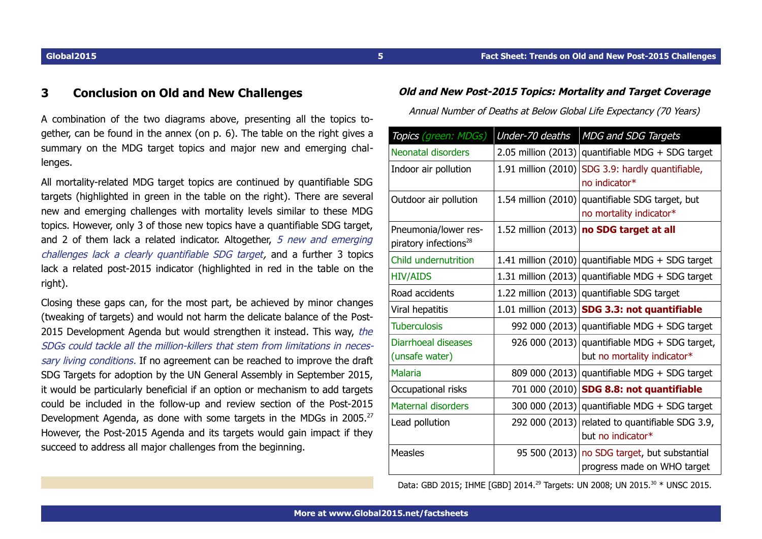# **3 Conclusion on Old and New Challenges**

A combination of the two diagrams above, presenting all the topics together, can be found in the annex (on p. [6\)](#page-5-0). The table on the right gives a summary on the MDG target topics and major new and emerging challenges.

All mortality-related MDG target topics are continued by quantifiable SDG targets (highlighted in green in the table on the right). There are several new and emerging challenges with mortality levels similar to these MDG topics. However, only 3 of those new topics have a quantifiable SDG target, and 2 of them lack a related indicator. Altogether, 5 new and emerging challenges lack a clearly quantifiable SDG target, and a further 3 topics lack a related post-2015 indicator (highlighted in red in the table on the right).

Closing these gaps can, for the most part, be achieved by minor changes (tweaking of targets) and would not harm the delicate balance of the Post-2015 Development Agenda but would strengthen it instead. This way, the SDGs could tackle all the million-killers that stem from limitations in necessary living conditions. If no agreement can be reached to improve the draft SDG Targets for adoption by the UN General Assembly in September 2015, it would be particularly beneficial if an option or mechanism to add targets could be included in the follow-up and review section of the Post-2015 Development Agenda, as done with some targets in the MDGs in 2005.<sup>[27](#page-9-10)</sup> However, the Post-2015 Agenda and its targets would gain impact if they succeed to address all major challenges from the beginning.

## **Old and New Post-2015 Topics: Mortality and Target Coverage**

Annual Number of Deaths at Below Global Life Expectancy (70 Years)

| Topics (green: MDGs)                                      | Under-70 deaths       | <b>MDG and SDG Targets</b>                                    |
|-----------------------------------------------------------|-----------------------|---------------------------------------------------------------|
| <b>Neonatal disorders</b>                                 | 2.05 million (2013)   | quantifiable MDG + SDG target                                 |
| Indoor air pollution                                      | 1.91 million (2010)   | SDG 3.9: hardly quantifiable,<br>no indicator*                |
| Outdoor air pollution                                     | 1.54 million (2010)   | quantifiable SDG target, but<br>no mortality indicator*       |
| Pneumonia/lower res-<br>piratory infections <sup>28</sup> | 1.52 million (2013)   | no SDG target at all                                          |
| Child undernutrition                                      | 1.41 million (2010)   | quantifiable MDG + SDG target                                 |
| <b>HIV/AIDS</b>                                           | 1.31 million (2013)   | quantifiable MDG + SDG target                                 |
| Road accidents                                            | 1.22 million (2013)   | quantifiable SDG target                                       |
| Viral hepatitis                                           | 1.01 million $(2013)$ | SDG 3.3: not quantifiable                                     |
| <b>Tuberculosis</b>                                       | 992 000 (2013)        | quantifiable MDG + SDG target                                 |
| <b>Diarrhoeal diseases</b><br>(unsafe water)              | 926 000 (2013)        | quantifiable MDG + SDG target,<br>but no mortality indicator* |
| <b>Malaria</b>                                            | 809 000 (2013)        | quantifiable MDG + SDG target                                 |
| Occupational risks                                        | 701 000 (2010)        | SDG 8.8: not quantifiable                                     |
| <b>Maternal disorders</b>                                 | 300 000 (2013)        | quantifiable MDG + SDG target                                 |
| Lead pollution                                            | 292 000 (2013)        | related to quantifiable SDG 3.9,<br>but no indicator*         |
| <b>Measles</b>                                            | 95 500 (2013)         | no SDG target, but substantial<br>progress made on WHO target |

Data: GBD 2015; IHME [GBD] 2014.<sup>[29](#page-10-1)</sup> Targets: UN 2008; UN 2015.<sup>[30](#page-10-2)</sup> \* UNSC 2015.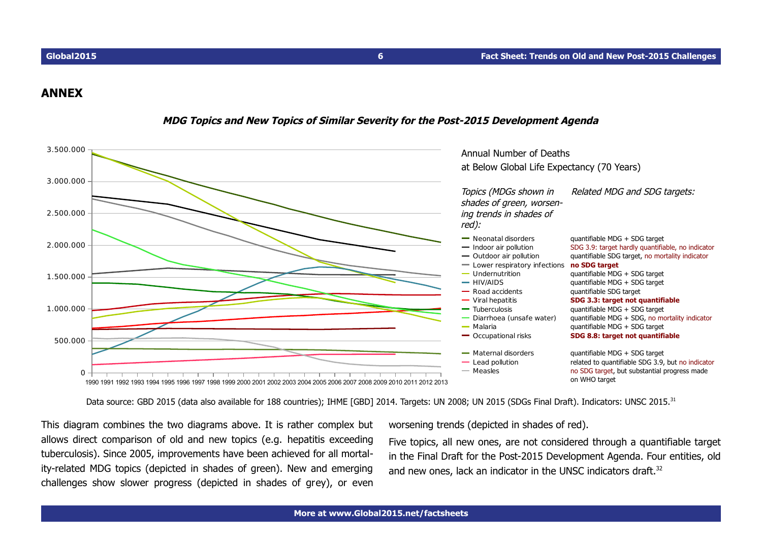## **ANNEX**



## <span id="page-5-0"></span>**MDG Topics and New Topics of Similar Severity for the Post-2015 Development Agenda**

Data source: GBD 2015 (data also available for 188 countries); IHME [GBD] 2014. Targets: UN 2008; UN 2015 (SDGs Final Draft). Indicators: UNSC 2015.<sup>[31](#page-10-3)</sup>

This diagram combines the two diagrams above. It is rather complex but allows direct comparison of old and new topics (e.g. hepatitis exceeding tuberculosis). Since 2005, improvements have been achieved for all mortality-related MDG topics (depicted in shades of green). New and emerging challenges show slower progress (depicted in shades of grey), or even

worsening trends (depicted in shades of red).

Five topics, all new ones, are not considered through a quantifiable target in the Final Draft for the Post-2015 Development Agenda. Four entities, old and new ones, lack an indicator in the UNSC indicators draft.<sup>[32](#page-10-4)</sup>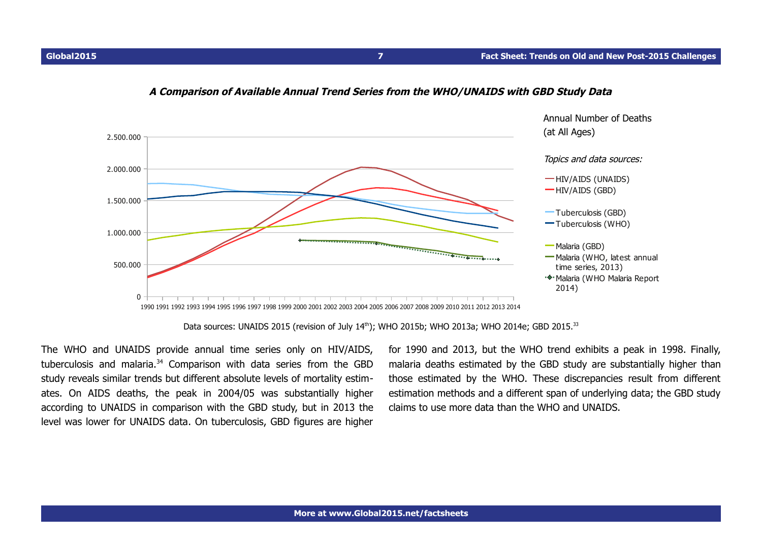



<span id="page-6-0"></span>**A Comparison of Available Annual Trend Series from the WHO/UNAIDS with GBD Study Data**

Data sources: UNAIDS 2015 (revision of July  $14<sup>th</sup>$ ); WHO 2015b; WHO 2013a; WHO 2014e; GBD 2015.<sup>[33](#page-10-5)</sup>

The WHO and UNAIDS provide annual time series only on HIV/AIDS, tuberculosis and malaria.<sup>[34](#page-10-6)</sup> Comparison with data series from the GBD study reveals similar trends but different absolute levels of mortality estimates. On AIDS deaths, the peak in 2004/05 was substantially higher according to UNAIDS in comparison with the GBD study, but in 2013 the level was lower for UNAIDS data. On tuberculosis, GBD figures are higher

for 1990 and 2013, but the WHO trend exhibits a peak in 1998. Finally, malaria deaths estimated by the GBD study are substantially higher than those estimated by the WHO. These discrepancies result from different estimation methods and a different span of underlying data; the GBD study claims to use more data than the WHO and UNAIDS.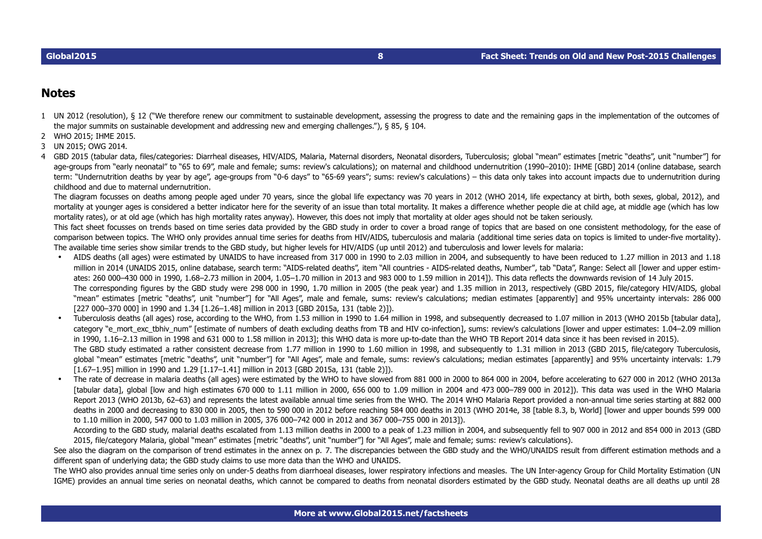## **Notes**

- <span id="page-7-0"></span>1 UN 2012 (resolution), § 12 ("We therefore renew our commitment to sustainable development, assessing the progress to date and the remaining gaps in the implementation of the outcomes of the major summits on sustainable development and addressing new and emerging challenges."), § 85, § 104.
- <span id="page-7-1"></span>2 WHO 2015; IHME 2015.
- <span id="page-7-2"></span>3 UN 2015; OWG 2014.
- <span id="page-7-3"></span>4 GBD 2015 (tabular data, files/categories: Diarrheal diseases, HIV/AIDS, Malaria, Maternal disorders, Neonatal disorders, Tuberculosis; global "mean" estimates [metric "deaths", unit "number"] for age-groups from "early neonatal" to "65 to 69", male and female; sums: review's calculations); on maternal and childhood undernutrition (1990–2010): IHME [GBD] 2014 (online database, search term: "Undernutrition deaths by year by age", age-groups from "0-6 days" to "65-69 years"; sums: review's calculations) – this data only takes into account impacts due to undernutrition during childhood and due to maternal undernutrition.

The diagram focusses on deaths among people aged under 70 years, since the global life expectancy was 70 years in 2012 (WHO 2014, life expectancy at birth, both sexes, global, 2012), and mortality at younger ages is considered a better indicator here for the severity of an issue than total mortality. It makes a difference whether people die at child age, at middle age (which has low mortality rates), or at old age (which has high mortality rates anyway). However, this does not imply that mortality at older ages should not be taken seriously.

This fact sheet focusses on trends based on time series data provided by the GBD study in order to cover a broad range of topics that are based on one consistent methodology, for the ease of comparison between topics. The WHO only provides annual time series for deaths from HIV/AIDS, tuberculosis and malaria (additional time series data on topics is limited to under-five mortality). The available time series show similar trends to the GBD study, but higher levels for HIV/AIDS (up until 2012) and tuberculosis and lower levels for malaria:

- AIDS deaths (all ages) were estimated by UNAIDS to have increased from 317 000 in 1990 to 2.03 million in 2004, and subsequently to have been reduced to 1.27 million in 2013 and 1.18 million in 2014 (UNAIDS 2015, online database, search term: "AIDS-related deaths", item "All countries - AIDS-related deaths, Number", tab "Data", Range: Select all [lower and upper estimates: 260 000–430 000 in 1990, 1.68–2.73 million in 2004, 1.05–1.70 million in 2013 and 983 000 to 1.59 million in 2014]). This data reflects the downwards revision of 14 July 2015. The corresponding figures by the GBD study were 298 000 in 1990, 1.70 million in 2005 (the peak year) and 1.35 million in 2013, respectively (GBD 2015, file/category HIV/AIDS, global "mean" estimates [metric "deaths", unit "number"] for "All Ages", male and female, sums: review's calculations; median estimates [apparently] and 95% uncertainty intervals: 286 000 [227 000–370 000] in 1990 and 1.34 [1.26–1.48] million in 2013 [GBD 2015a, 131 (table 2)]).
- Tuberculosis deaths (all ages) rose, according to the WHO, from 1.53 million in 1990 to 1.64 million in 1998, and subsequently decreased to 1.07 million in 2013 (WHO 2015b [tabular data], category "e\_mort\_exc\_tbhiv\_num" [estimate of numbers of death excluding deaths from TB and HIV co-infection], sums: review's calculations [lower and upper estimates: 1.04–2.09 million in 1990, 1.16–2.13 million in 1998 and 631 000 to 1.58 million in 2013]; this WHO data is more up-to-date than the WHO TB Report 2014 data since it has been revised in 2015). The GBD study estimated a rather consistent decrease from 1.77 million in 1990 to 1.60 million in 1998, and subsequently to 1.31 million in 2013 (GBD 2015, file/category Tuberculosis, global "mean" estimates [metric "deaths", unit "number"] for "All Ages", male and female, sums: review's calculations; median estimates [apparently] and 95% uncertainty intervals: 1.79 [1.67–1.95] million in 1990 and 1.29 [1.17–1.41] million in 2013 [GBD 2015a, 131 (table 2)]).
- The rate of decrease in malaria deaths (all ages) were estimated by the WHO to have slowed from 881 000 in 2000 to 864 000 in 2004, before accelerating to 627 000 in 2012 (WHO 2013a [tabular data], global [low and high estimates 670 000 to 1.11 million in 2000, 656 000 to 1.09 million in 2004 and 473 000-789 000 in 2012]). This data was used in the WHO Malaria Report 2013 (WHO 2013b, 62–63) and represents the latest available annual time series from the WHO. The 2014 WHO Malaria Report provided a non-annual time series starting at 882 000 deaths in 2000 and decreasing to 830 000 in 2005, then to 590 000 in 2012 before reaching 584 000 deaths in 2013 (WHO 2014e, 38 [table 8.3, b, World] [lower and upper bounds 599 000 to 1.10 million in 2000, 547 000 to 1.03 million in 2005, 376 000–742 000 in 2012 and 367 000–755 000 in 2013]).

According to the GBD study, malarial deaths escalated from 1.13 million deaths in 2000 to a peak of 1.23 million in 2004, and subsequently fell to 907 000 in 2012 and 854 000 in 2013 (GBD 2015, file/category Malaria, global "mean" estimates [metric "deaths", unit "number"] for "All Ages", male and female; sums: review's calculations).

See also the diagram on the comparison of trend estimates in the annex on p. [7.](#page-6-0) The discrepancies between the GBD study and the WHO/UNAIDS result from different estimation methods and a different span of underlying data; the GBD study claims to use more data than the WHO and UNAIDS.

The WHO also provides annual time series only on under-5 deaths from diarrhoeal diseases, lower respiratory infections and measles. The UN Inter-agency Group for Child Mortality Estimation (UN IGME) provides an annual time series on neonatal deaths, which cannot be compared to deaths from neonatal disorders estimated by the GBD study. Neonatal deaths are all deaths up until 28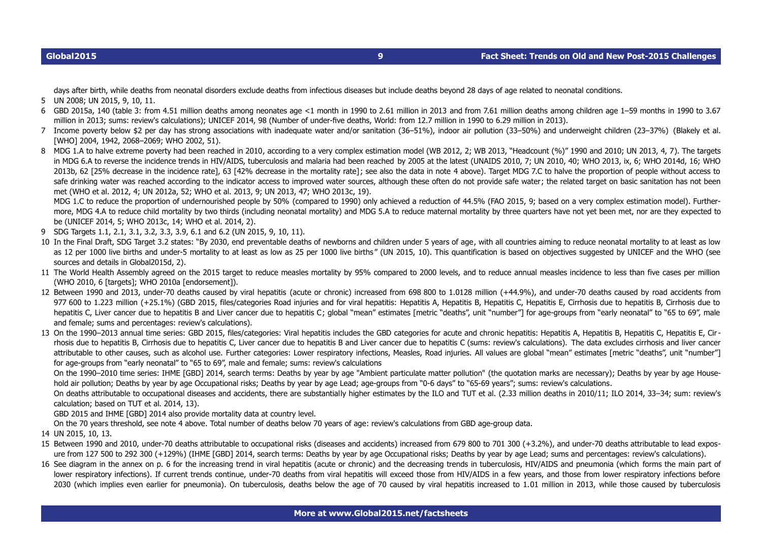<span id="page-8-0"></span>days after birth, while deaths from neonatal disorders exclude deaths from infectious diseases but include deaths beyond 28 days of age related to neonatal conditions.

- 5 UN 2008; UN 2015, 9, 10, 11.
- <span id="page-8-1"></span>6 GBD 2015a, 140 (table 3: from 4.51 million deaths among neonates age <1 month in 1990 to 2.61 million in 2013 and from 7.61 million deaths among children age 1–59 months in 1990 to 3.67 million in 2013; sums: review's calculations); UNICEF 2014, 98 (Number of under-five deaths, World: from 12.7 million in 1990 to 6.29 million in 2013).
- <span id="page-8-2"></span>7 Income poverty below \$2 per day has strong associations with inadequate water and/or sanitation (36–51%), indoor air pollution (33–50%) and underweight children (23–37%) (Blakely et al. [WHO] 2004, 1942, 2068–2069; WHO 2002, 51).
- <span id="page-8-3"></span>8 MDG 1.A to halve extreme poverty had been reached in 2010, according to a very complex estimation model (WB 2012, 2; WB 2013, "Headcount (%)" 1990 and 2010; UN 2013, 4, 7). The targets in MDG 6.A to reverse the incidence trends in HIV/AIDS, tuberculosis and malaria had been reached by 2005 at the latest (UNAIDS 2010, 7; UN 2010, 40; WHO 2013, ix, 6; WHO 2014d, 16; WHO 2013b, 62 [25% decrease in the incidence rate], 63 [42% decrease in the mortality rate]; see also the data in note [4](#page-7-3) above). Target MDG 7.C to halve the proportion of people without access to safe drinking water was reached according to the indicator access to improved water sources, although these often do not provide safe water; the related target on basic sanitation has not been met (WHO et al. 2012, 4; UN 2012a, 52; WHO et al. 2013, 9; UN 2013, 47; WHO 2013c, 19).

MDG 1.C to reduce the proportion of undernourished people by 50% (compared to 1990) only achieved a reduction of 44.5% (FAO 2015, 9; based on a very complex estimation model). Furthermore. MDG 4.A to reduce child mortality by two thirds (including neonatal mortality) and MDG 5.A to reduce maternal mortality by three quarters have not yet been met, nor are they expected to be (UNICEF 2014, 5; WHO 2013c, 14; WHO et al. 2014, 2).

- <span id="page-8-4"></span>9 SDG Targets 1.1, 2.1, 3.1, 3.2, 3.3, 3.9, 6.1 and 6.2 (UN 2015, 9, 10, 11).
- <span id="page-8-5"></span>10 In the Final Draft, SDG Target 3.2 states: "By 2030, end preventable deaths of newborns and children under 5 years of age, with all countries aiming to reduce neonatal mortality to at least as low as 12 per 1000 live births and under-5 mortality to at least as low as 25 per 1000 live births" (UN 2015, 10). This quantification is based on objectives suggested by UNICEF and the WHO (see sources and details in Global2015d, 2).
- <span id="page-8-6"></span>11 The World Health Assembly agreed on the 2015 target to reduce measles mortality by 95% compared to 2000 levels, and to reduce annual measles incidence to less than five cases per million (WHO 2010, 6 [targets]; WHO 2010a [endorsement]).
- <span id="page-8-7"></span>12 Between 1990 and 2013, under-70 deaths caused by viral hepatitis (acute or chronic) increased from 698 800 to 1.0128 million (+44.9%), and under-70 deaths caused by road accidents from 977 600 to 1.223 million (+25.1%) (GBD 2015, files/categories Road injuries and for viral hepatitis: Hepatitis A, Hepatitis B, Hepatitis C, Hepatitis E, Cirrhosis due to hepatitis B, Cirrhosis due to hepatitis B, Cirrhosis hepatitis C, Liver cancer due to hepatitis B and Liver cancer due to hepatitis C; global "mean" estimates [metric "deaths", unit "number"] for age-groups from "early neonatal" to "65 to 69", male and female; sums and percentages: review's calculations).
- <span id="page-8-8"></span>13 On the 1990–2013 annual time series: GBD 2015, files/categories: Viral hepatitis includes the GBD categories for acute and chronic hepatitis: Hepatitis A, Hepatitis B, Hepatitis C, Hepatitis E, Cirrhosis due to hepatitis B, Cirrhosis due to hepatitis C, Liver cancer due to hepatitis B and Liver cancer due to hepatitis C (sums: review's calculations). The data excludes cirrhosis and liver cancer attributable to other causes, such as alcohol use. Further categories: Lower respiratory infections, Measles, Road injuries. All values are global "mean" estimates [metric "deaths", unit "number"] for age-groups from "early neonatal" to "65 to 69", male and female; sums: review's calculations

On the 1990–2010 time series: IHME [GBD] 2014, search terms: Deaths by year by age "Ambient particulate matter pollution" (the quotation marks are necessary); Deaths by year by age Household air pollution; Deaths by year by age Occupational risks; Deaths by year by age Lead; age-groups from "0-6 days" to "65-69 years"; sums: review's calculations.

On deaths attributable to occupational diseases and accidents, there are substantially higher estimates by the ILO and TUT et al. (2.33 million deaths in 2010/11; ILO 2014, 33–34; sum: review's calculation; based on TUT et al. 2014, 13).

GBD 2015 and IHME [GBD] 2014 also provide mortality data at country level.

<span id="page-8-9"></span>On the 70 years threshold, see note [4](#page-7-3) above. Total number of deaths below 70 years of age: review's calculations from GBD age-group data.

- 14 UN 2015, 10, 13.
- <span id="page-8-10"></span>15 Between 1990 and 2010, under-70 deaths attributable to occupational risks (diseases and accidents) increased from 679 800 to 701 300 (+3.2%), and under-70 deaths attributable to lead exposure from 127 500 to 292 300 (+129%) (IHME [GBD] 2014, search terms: Deaths by year by age Occupational risks; Deaths by year by age Lead; sums and percentages: review's calculations).
- <span id="page-8-11"></span>16 See diagram in the annex on p. [6](#page-5-0) for the increasing trend in viral hepatitis (acute or chronic) and the decreasing trends in tuberculosis, HIV/AIDS and pneumonia (which forms the main part of lower respiratory infections). If current trends continue, under-70 deaths from viral hepatitis will exceed those from HIV/AIDS in a few years, and those from lower respiratory infections before 2030 (which implies even earlier for pneumonia). On tuberculosis, deaths below the age of 70 caused by viral hepatitis increased to 1.01 million in 2013, while those caused by tuberculosis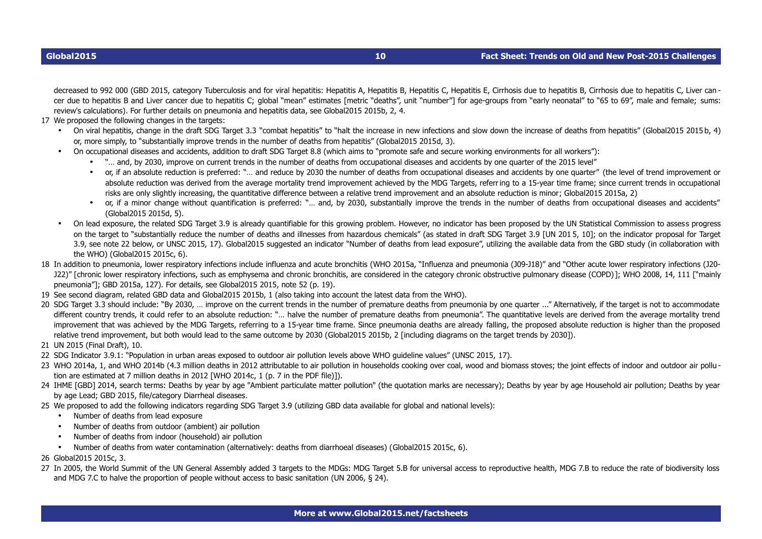decreased to 992 000 (GBD 2015, category Tuberculosis and for viral hepatitis: Hepatitis A, Hepatitis B, Hepatitis E, Hepatitis E, Cirrhosis due to hepatitis B, Cirrhosis due to hepatitis E, Cirrhosis due to hepatitis C, L cer due to hepatitis B and Liver cancer due to hepatitis C; global "mean" estimates [metric "deaths", unit "number"] for age-groups from "early neonatal" to "65 to 69", male and female; sums: review's calculations). For further details on pneumonia and hepatitis data, see Global2015 2015b, 2, 4.

- <span id="page-9-0"></span>17 We proposed the following changes in the targets:
	- On viral hepatitis, change in the draft SDG Target 3.3 "combat hepatitis" to "halt the increase in new infections and slow down the increase of deaths from hepatitis" (Global2015 2015 b, 4) or, more simply, to "substantially improve trends in the number of deaths from hepatitis" (Global2015 2015d, 3).
	- On occupational diseases and accidents, addition to draft SDG Target 8.8 (which aims to "promote safe and secure working environments for all workers"):
		- "... and, by 2030, improve on current trends in the number of deaths from occupational diseases and accidents by one quarter of the 2015 level"
		- or, if an absolute reduction is preferred: "… and reduce by 2030 the number of deaths from occupational diseases and accidents by one quarter" (the level of trend improvement or absolute reduction was derived from the average mortality trend improvement achieved by the MDG Targets, referring to a 15-year time frame; since current trends in occupational risks are only slightly increasing, the quantitative difference between a relative trend improvement and an absolute reduction is minor; Global2015 2015a, 2)
		- or, if a minor change without quantification is preferred: "… and, by 2030, substantially improve the trends in the number of deaths from occupational diseases and accidents" (Global2015 2015d, 5).
	- On lead exposure, the related SDG Target 3.9 is already quantifiable for this growing problem. However, no indicator has been proposed by the UN Statistical Commission to assess progress on the target to "substantially reduce the number of deaths and illnesses from hazardous chemicals" (as stated in draft SDG Target 3.9 [UN 201 5, 10]; on the indicator proposal for Target 3.9, see note [22](#page-9-5) below, or UNSC 2015, 17). Global2015 suggested an indicator "Number of deaths from lead exposure", utilizing the available data from the GBD study (in collaboration with the WHO) (Global2015 2015c, 6).
- <span id="page-9-1"></span>18 In addition to pneumonia, lower respiratory infections include influenza and acute bronchitis (WHO 2015a, "Influenza and pneumonia (J09-J18)" and "Other acute lower respiratory infections (J20- J22)" [chronic lower respiratory infections, such as emphysema and chronic bronchitis, are considered in the category chronic obstructive pulmonary disease (COPD)]; WHO 2008, 14, 111 ["mainly pneumonia"]; GBD 2015a, 127). For details, see Global2015 2015, note 52 (p. 19).
- <span id="page-9-2"></span>19 See second diagram, related GBD data and Global2015 2015b, 1 (also taking into account the latest data from the WHO).
- <span id="page-9-3"></span>20 SDG Target 3.3 should include: "By 2030, ... improve on the current trends in the number of premature deaths from pneumonia by one quarter ..." Alternatively, if the target is not to accommodate different country trends, it could refer to an absolute reduction: "... halve the number of premature deaths from pneumonia". The quantitative levels are derived from the average mortality trend improvement that was achieved by the MDG Targets, referring to a 15-year time frame. Since pneumonia deaths are already falling, the proposed absolute reduction is higher than the proposed relative trend improvement, but both would lead to the same outcome by 2030 (Global2015 2015b, 2 [including diagrams on the target trends by 2030]).
- <span id="page-9-4"></span>21 UN 2015 (Final Draft), 10.
- <span id="page-9-5"></span>22 SDG Indicator 3.9.1: "Population in urban areas exposed to outdoor air pollution levels above WHO guideline values" (UNSC 2015, 17).
- <span id="page-9-6"></span>23 WHO 2014a, 1, and WHO 2014b (4.3 million deaths in 2012 attributable to air pollution in households cooking over coal, wood and biomass stoves; the joint effects of indoor and outdoor air pollu tion are estimated at 7 million deaths in 2012 [WHO 2014c, 1 (p. 7 in the PDF file)]).
- <span id="page-9-7"></span>24 IHME [GBD] 2014, search terms: Deaths by year by age "Ambient particulate matter pollution" (the quotation marks are necessary); Deaths by year by age Household air pollution; Deaths by year by age Lead; GBD 2015, file/category Diarrheal diseases.
- <span id="page-9-8"></span>25 We proposed to add the following indicators regarding SDG Target 3.9 (utilizing GBD data available for global and national levels):
	- Number of deaths from lead exposure
	- Number of deaths from outdoor (ambient) air pollution
	- Number of deaths from indoor (household) air pollution
	- Number of deaths from water contamination (alternatively: deaths from diarrhoeal diseases) (Global2015 2015c, 6).
- <span id="page-9-9"></span>26 Global2015 2015c, 3.
- <span id="page-9-10"></span>27 In 2005, the World Summit of the UN General Assembly added 3 targets to the MDGs: MDG Target 5.B for universal access to reproductive health, MDG 7.B to reduce the rate of biodiversity loss and MDG 7.C to halve the proportion of people without access to basic sanitation (UN 2006, § 24).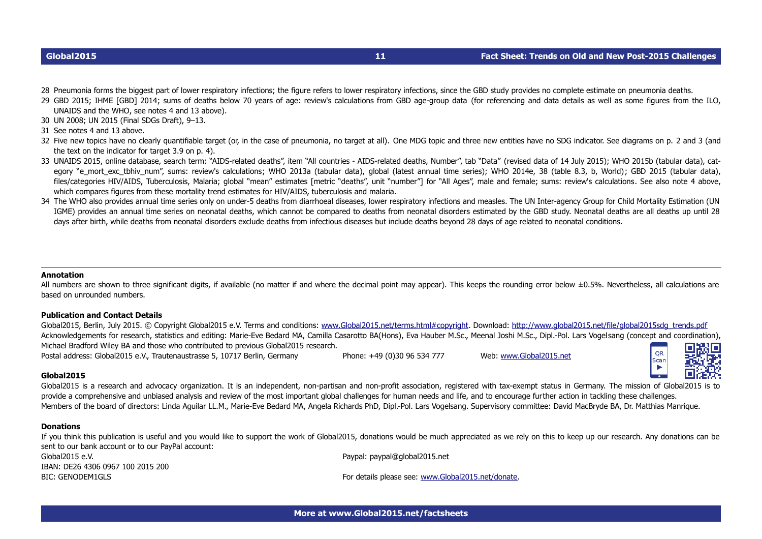<span id="page-10-0"></span>28 Pneumonia forms the biggest part of lower respiratory infections; the figure refers to lower respiratory infections, since the GBD study provides no complete estimate on pneumonia deaths.

- <span id="page-10-1"></span>29 GBD 2015; IHME [GBD] 2014; sums of deaths below 70 years of age: review's calculations from GBD age-group data (for referencing and data details as well as some figures from the ILO, UNAIDS and the WHO, see notes [4](#page-7-3) and [13](#page-8-8) above).
- <span id="page-10-2"></span>30 UN 2008; UN 2015 (Final SDGs Draft), 9–13.
- <span id="page-10-3"></span>31 See notes [4](#page-7-3) and [13](#page-8-8) above.
- <span id="page-10-4"></span>3[2](#page-1-0) Five new topics have no clearly quantifiable target (or, in the case of pneumonia, no target at all). One MDG topic and three new entities have no SDG indicator. See diagrams on p. 2 and [3](#page-2-0) (and the text on the indicator for target 3.9 on p. [4\)](#page-3-0).
- <span id="page-10-5"></span>33 UNAIDS 2015, online database, search term: "AIDS-related deaths", item "All countries - AIDS-related deaths, Number", tab "Data" (revised data of 14 July 2015); WHO 2015b (tabular data), category "e mort exc tbhiv num", sums: review's calculations; WHO 2013a (tabular data), global (latest annual time series); WHO 2014e, 38 (table 8.3, b, World); GBD 2015 (tabular data), files/categories HIV/AIDS, Tuberculosis, Malaria; global "mean" estimates [metric "deaths", unit "number"] for "All Ages", male and female; sums; review's calculations. See also note [4](#page-7-3) above, which compares figures from these mortality trend estimates for HIV/AIDS, tuberculosis and malaria.
- <span id="page-10-6"></span>34 The WHO also provides annual time series only on under-5 deaths from diarrhoeal diseases, lower respiratory infections and measles. The UN Inter-agency Group for Child Mortality Estimation (UN IGME) provides an annual time series on neonatal deaths, which cannot be compared to deaths from neonatal disorders estimated by the GBD study. Neonatal deaths are all deaths up until 28 days after birth, while deaths from neonatal disorders exclude deaths from infectious diseases but include deaths beyond 28 days of age related to neonatal conditions.

## **Annotation**

All numbers are shown to three significant digits, if available (no matter if and where the decimal point may appear). This keeps the rounding error below ±0.5%. Nevertheless, all calculations are based on unrounded numbers.

## **Publication and Contact Details**

Global2015, Berlin, July 2015. © Copyright Global2015 e.V. Terms and conditions: [www.Global2015.net/terms.html#copyright.](http://www.Global2015.net/terms.html#copyright) Download: http://www.qlobal2015.net/file/qlobal2015sdq\_trends.pdf Acknowledgements for research, statistics and editing: Marie-Eve Bedard MA, Camilla Casarotto BA(Hons), Eva Hauber M.Sc., Meenal Joshi M.Sc., Dipl.-Pol. Lars Vogelsang (concept and coordination), Michael Bradford Wiley BA and those who contributed to previous Global2015 research. OR

Postal address: Global2015 e.V., Trautenaustrasse 5, 10717 Berlin, Germany Phone: +49 (0)30 96 534 777 Web: [www.Global2015.net](http://www.Global2015.net/)



## **Global2015**

Global2015 is a research and advocacy organization. It is an independent, non-partisan and non-profit association, registered with tax-exempt status in Germany. The mission of Global2015 is to provide a comprehensive and unbiased analysis and review of the most important global challenges for human needs and life, and to encourage further action in tackling these challenges. Members of the board of directors: Linda Aguilar LL.M., Marie-Eve Bedard MA, Angela Richards PhD, Dipl.-Pol. Lars Vogelsang. Supervisory committee: David MacBryde BA, Dr. Matthias Manrique.

## **Donations**

If you think this publication is useful and you would like to support the work of Global2015, donations would be much appreciated as we rely on this to keep up our research. Any donations can be sent to our bank account or to our PayPal account:

| Global2015 e.V.                   |  |
|-----------------------------------|--|
| IBAN: DE26 4306 0967 100 2015 200 |  |
| BIC: GENODEM1GLS                  |  |

Paypal: paypal@global2015.net

For details please see: [www.Global2015.net/donate.](http://www.Global2015.net/donate)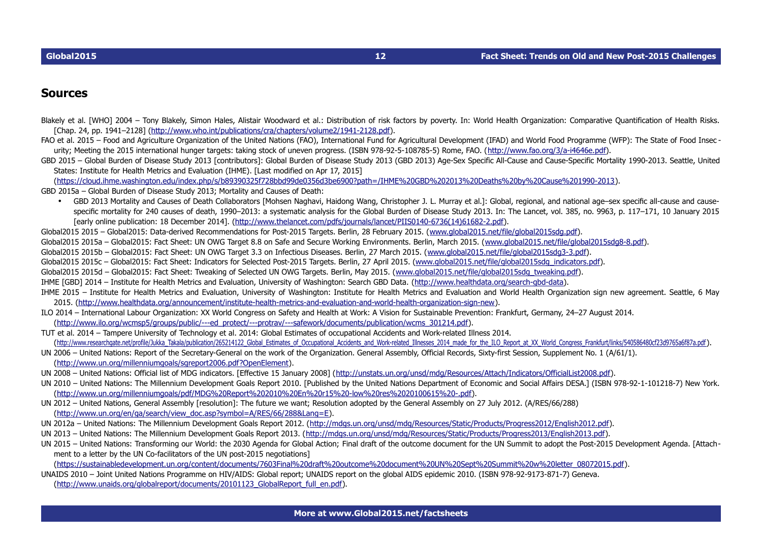## **Sources**

- Blakely et al. [WHO] 2004 Tony Blakely, Simon Hales, Alistair Woodward et al.: Distribution of risk factors by poverty. In: World Health Organization: Comparative Quantification of Health Risks. [Chap. 24, pp. 1941–2128] [\(http://www.who.int/publications/cra/chapters/volume2/1941-2128.pdf\)](http://www.who.int/publications/cra/chapters/volume2/1941-2128.pdf).
- FAO et al. 2015 Food and Agriculture Organization of the United Nations (FAO), International Fund for Agricultural Development (IFAD) and World Food Programme (WFP): The State of Food Insec urity; Meeting the 2015 international hunger targets: taking stock of uneven progress. (ISBN 978-92-5-108785-5) Rome, FAO. [\(http://www.fao.org/3/a-i4646e.pdf\)](http://www.fao.org/3/a-i4646e.pdf).
- GBD 2015 Global Burden of Disease Study 2013 [contributors]: Global Burden of Disease Study 2013 (GBD 2013) Age-Sex Specific All-Cause and Cause-Specific Mortality 1990-2013. Seattle, United States: Institute for Health Metrics and Evaluation (IHME). [Last modified on Apr 17, 2015]

[\(https://cloud.ihme.washington.edu/index.php/s/b89390325f728bbd99de0356d3be6900?path=/IHME%20GBD%202013%20Deaths%20by%20Cause%201990-2013\)](https://cloud.ihme.washington.edu/index.php/s/b89390325f728bbd99de0356d3be6900?path=/IHME%20GBD%202013%20Deaths%20by%20Cause%201990-2013).

GBD 2015a – Global Burden of Disease Study 2013; Mortality and Causes of Death:

• GBD 2013 Mortality and Causes of Death Collaborators [Mohsen Naghavi, Haidong Wang, Christopher J. L. Murray et al.]: Global, regional, and national age–sex specific all-cause and causespecific mortality for 240 causes of death, 1990–2013; a systematic analysis for the Global Burden of Disease Study 2013. In: The Lancet, vol. 385, no. 9963, p. 117–171, 10 January 2015 [early online publication: 18 December 2014]. [\(http://www.thelancet.com/pdfs/journals/lancet/PIIS0140-6736\(14\)61682-2.pdf\)](http://www.thelancet.com/pdfs/journals/lancet/PIIS0140-6736(14)61682-2.pdf).

Global2015 2015 – Global2015: Data-derived Recommendations for Post-2015 Targets. Berlin, 28 February 2015. [\(www.global2015.net/file/global2015sdg.pdf\)](http://www.global2015.net/file/global2015sdg.pdf).

Global2015 2015a – Global2015: Fact Sheet: UN OWG Target 8.8 on Safe and Secure Working Environments. Berlin, March 2015. [\(www.global2015.net/file/global2015sdg8-8.pdf\)](http://www.global2015.net/file/global2015sdg8-8.pdf).

Global2015 2015b – Global2015: Fact Sheet: UN OWG Target 3.3 on Infectious Diseases. Berlin, 27 March 2015. [\(www.global2015.net/file/global2015sdg3-3.pdf\)](http://www.global2015.net/file/global2015sdg3-3.pdf).

Global2015 2015c - Global2015: Fact Sheet: Indicators for Selected Post-2015 Targets. Berlin, 27 April 2015. [\(www.global2015.net/file/global2015sdg\\_indicators.pdf\)](http://www.global2015.net/file/global2015sdg_indicators.pdf).

Global2015 2015d - Global2015: Fact Sheet: Tweaking of Selected UN OWG Targets. Berlin, May 2015. [\(www.global2015.net/file/global2015sdg\\_tweaking.pdf\)](http://www.global2015.net/file/global2015sdg_tweaking.pdf).

IHME [GBD] 2014 – Institute for Health Metrics and Evaluation, University of Washington: Search GBD Data. [\(http://www.healthdata.org/search-gbd-data\)](http://www.healthdata.org/search-gbd-data).

- IHME 2015 Institute for Health Metrics and Evaluation, University of Washington: Institute for Health Metrics and Evaluation and World Health Organization sign new agreement. Seattle, 6 May 2015. [\(http://www.healthdata.org/announcement/institute-health-metrics-and-evaluation-and-world-health-organization-sign-new\)](http://www.healthdata.org/announcement/institute-health-metrics-and-evaluation-and-world-health-organization-sign-new).
- ILO 2014 International Labour Organization: XX World Congress on Safety and Health at Work: A Vision for Sustainable Prevention: Frankfurt, Germany, 24–27 August 2014. [\(http://www.ilo.org/wcmsp5/groups/public/---ed\\_protect/---protrav/---safework/documents/publication/wcms\\_301214.pdf\)](http://www.ilo.org/wcmsp5/groups/public/---ed_protect/---protrav/---safework/documents/publication/wcms_301214.pdf).
- TUT et al. 2014 Tampere University of Technology et al. 2014: Global Estimates of occupational Accidents and Work-related Illness 2014. (http://www.researchgate.net/profile/Jukka Takala/publication/265214122 Global Estimates of Occupational Accidents and Work-related Illnesses 2014 made for the ILO Report at XX World Congress Frankfurt/links/540586480cf23d
- UN 2006 United Nations: Report of the Secretary-General on the work of the Organization. General Assembly, Official Records, Sixty-first Session, Supplement No. 1 (A/61/1). [\(http://www.un.org/millenniumgoals/sgreport2006.pdf?OpenElement\)](http://www.un.org/millenniumgoals/sgreport2006.pdf?OpenElement).
- UN 2008 United Nations: Official list of MDG indicators. [Effective 15 January 2008] [\(http://unstats.un.org/unsd/mdg/Resources/Attach/Indicators/OfficialList2008.pdf\)](http://unstats.un.org/unsd/mdg/Resources/Attach/Indicators/OfficialList2008.pdf).
- UN 2010 United Nations: The Millennium Development Goals Report 2010. [Published by the United Nations Department of Economic and Social Affairs DESA.] (ISBN 978-92-1-101218-7) New York. [\(http://www.un.org/millenniumgoals/pdf/MDG%20Report%202010%20En%20r15%20-low%20res%2020100615%20-.pdf\)](http://www.un.org/millenniumgoals/pdf/MDG%20Report%202010%20En%20r15%20-low%20res%2020100615%20-.pdf).
- UN 2012 United Nations, General Assembly [resolution]: The future we want; Resolution adopted by the General Assembly on 27 July 2012. (A/RES/66/288) [\(http://www.un.org/en/ga/search/view\\_doc.asp?symbol=A/RES/66/288&Lang=E\)](http://www.un.org/en/ga/search/view_doc.asp?symbol=A/RES/66/288&Lang=E).
- UN 2012a United Nations: The Millennium Development Goals Report 2012. [\(http://mdgs.un.org/unsd/mdg/Resources/Static/Products/Progress2012/English2012.pdf\)](http://mdgs.un.org/unsd/mdg/Resources/Static/Products/Progress2012/English2012.pdf).
- UN 2013 United Nations: The Millennium Development Goals Report 2013. [\(http://mdgs.un.org/unsd/mdg/Resources/Static/Products/Progress2013/English2013.pdf\)](http://mdgs.un.org/unsd/mdg/Resources/Static/Products/Progress2013/English2013.pdf).
- UN 2015 United Nations: Transforming our World: the 2030 Agenda for Global Action; Final draft of the outcome document for the UN Summit to adopt the Post-2015 Development Agenda. [Attachment to a letter by the UN Co-facilitators of the UN post-2015 negotiations]

[\(https://sustainabledevelopment.un.org/content/documents/7603Final%20draft%20outcome%20document%20UN%20Sept%20Summit%20w%20letter\\_08072015.pdf\)](https://sustainabledevelopment.un.org/content/documents/7603Final%20draft%20outcome%20document%20UN%20Sept%20Summit%20w%20letter_08072015.pdf).

UNAIDS 2010 – Joint United Nations Programme on HIV/AIDS: Global report; UNAIDS report on the global AIDS epidemic 2010. (ISBN 978-92-9173-871-7) Geneva. [\(http://www.unaids.org/globalreport/documents/20101123\\_GlobalReport\\_full\\_en.pdf\)](http://www.unaids.org/globalreport/documents/20101123_GlobalReport_full_en.pdf).

**More at www.Global2015.net/factsheets**